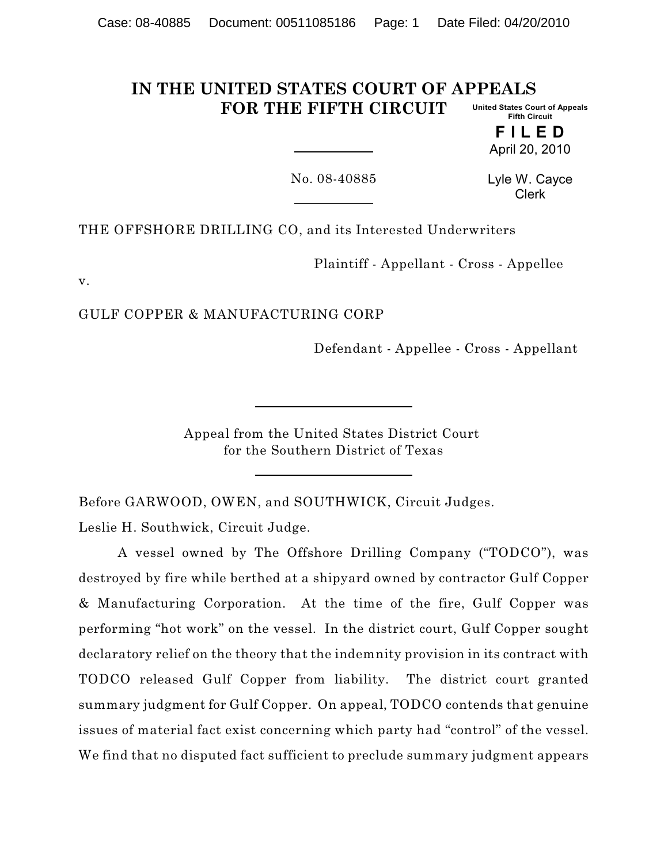#### **IN THE UNITED STATES COURT OF APPEALS FOR THE FIFTH CIRCUIT United States Court of Appeals Fifth Circuit**

**F I L E D** April 20, 2010

No. 08-40885

Lyle W. Cayce Clerk

THE OFFSHORE DRILLING CO, and its Interested Underwriters

Plaintiff - Appellant - Cross - Appellee

v.

GULF COPPER & MANUFACTURING CORP

Defendant - Appellee - Cross - Appellant

Appeal from the United States District Court for the Southern District of Texas

Before GARWOOD, OWEN, and SOUTHWICK, Circuit Judges.

Leslie H. Southwick, Circuit Judge.

A vessel owned by The Offshore Drilling Company ("TODCO"), was destroyed by fire while berthed at a shipyard owned by contractor Gulf Copper & Manufacturing Corporation. At the time of the fire, Gulf Copper was performing "hot work" on the vessel. In the district court, Gulf Copper sought declaratory relief on the theory that the indemnity provision in its contract with TODCO released Gulf Copper from liability. The district court granted summary judgment for Gulf Copper. On appeal, TODCO contends that genuine issues of material fact exist concerning which party had "control" of the vessel. We find that no disputed fact sufficient to preclude summary judgment appears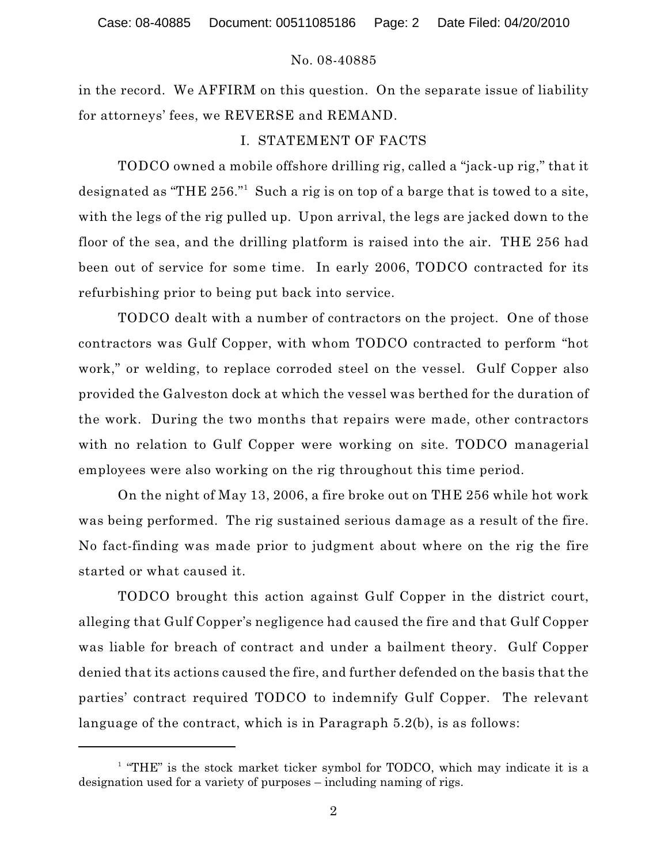in the record. We AFFIRM on this question. On the separate issue of liability for attorneys' fees, we REVERSE and REMAND.

# I. STATEMENT OF FACTS

TODCO owned a mobile offshore drilling rig, called a "jack-up rig," that it designated as "THE  $256."$  Such a rig is on top of a barge that is towed to a site, with the legs of the rig pulled up. Upon arrival, the legs are jacked down to the floor of the sea, and the drilling platform is raised into the air. THE 256 had been out of service for some time. In early 2006, TODCO contracted for its refurbishing prior to being put back into service.

TODCO dealt with a number of contractors on the project. One of those contractors was Gulf Copper, with whom TODCO contracted to perform "hot work," or welding, to replace corroded steel on the vessel. Gulf Copper also provided the Galveston dock at which the vessel was berthed for the duration of the work. During the two months that repairs were made, other contractors with no relation to Gulf Copper were working on site. TODCO managerial employees were also working on the rig throughout this time period.

On the night of May 13, 2006, a fire broke out on THE 256 while hot work was being performed. The rig sustained serious damage as a result of the fire. No fact-finding was made prior to judgment about where on the rig the fire started or what caused it.

TODCO brought this action against Gulf Copper in the district court, alleging that Gulf Copper's negligence had caused the fire and that Gulf Copper was liable for breach of contract and under a bailment theory. Gulf Copper denied that its actions caused the fire, and further defended on the basis that the parties' contract required TODCO to indemnify Gulf Copper. The relevant language of the contract, which is in Paragraph 5.2(b), is as follows:

 $1$  "THE" is the stock market ticker symbol for TODCO, which may indicate it is a designation used for a variety of purposes – including naming of rigs.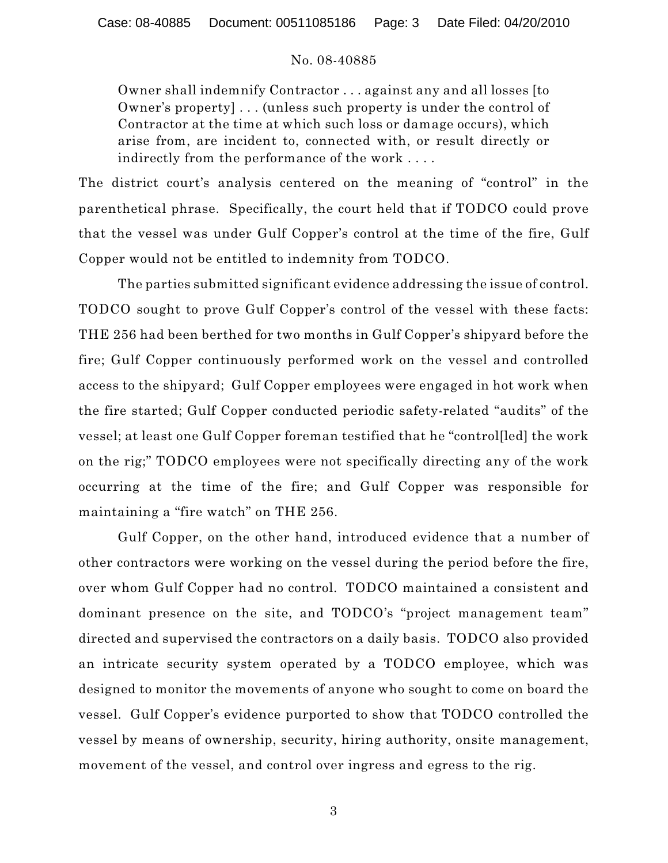Owner shall indemnify Contractor . . . against any and all losses [to Owner's property] . . . (unless such property is under the control of Contractor at the time at which such loss or damage occurs), which arise from, are incident to, connected with, or result directly or indirectly from the performance of the work . . . .

The district court's analysis centered on the meaning of "control" in the parenthetical phrase. Specifically, the court held that if TODCO could prove that the vessel was under Gulf Copper's control at the time of the fire, Gulf Copper would not be entitled to indemnity from TODCO.

The parties submitted significant evidence addressing the issue of control. TODCO sought to prove Gulf Copper's control of the vessel with these facts: THE 256 had been berthed for two months in Gulf Copper's shipyard before the fire; Gulf Copper continuously performed work on the vessel and controlled access to the shipyard; Gulf Copper employees were engaged in hot work when the fire started; Gulf Copper conducted periodic safety-related "audits" of the vessel; at least one Gulf Copper foreman testified that he "control[led] the work on the rig;" TODCO employees were not specifically directing any of the work occurring at the time of the fire; and Gulf Copper was responsible for maintaining a "fire watch" on THE 256.

Gulf Copper, on the other hand, introduced evidence that a number of other contractors were working on the vessel during the period before the fire, over whom Gulf Copper had no control. TODCO maintained a consistent and dominant presence on the site, and TODCO's "project management team" directed and supervised the contractors on a daily basis. TODCO also provided an intricate security system operated by a TODCO employee, which was designed to monitor the movements of anyone who sought to come on board the vessel. Gulf Copper's evidence purported to show that TODCO controlled the vessel by means of ownership, security, hiring authority, onsite management, movement of the vessel, and control over ingress and egress to the rig.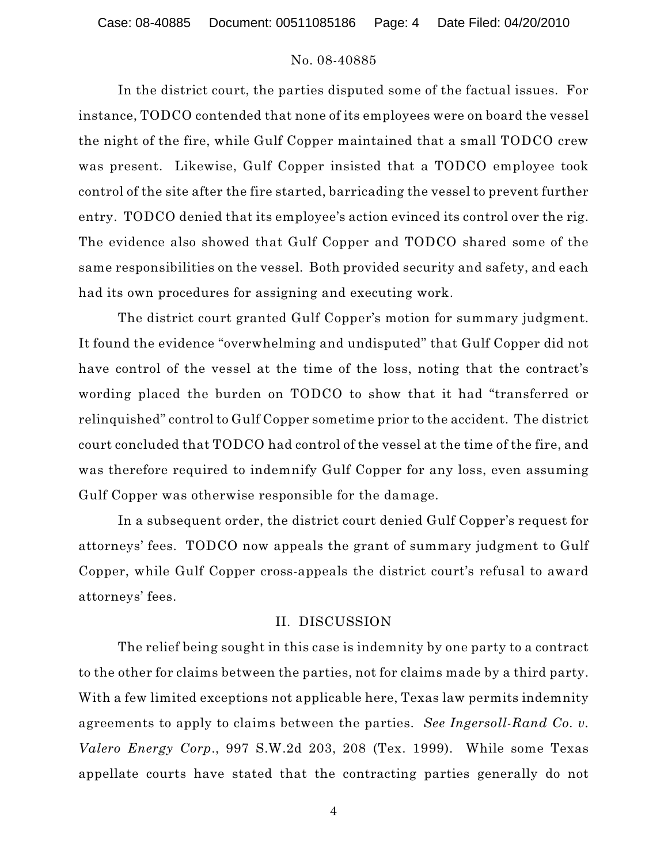In the district court, the parties disputed some of the factual issues. For instance, TODCO contended that none of its employees were on board the vessel the night of the fire, while Gulf Copper maintained that a small TODCO crew was present. Likewise, Gulf Copper insisted that a TODCO employee took control of the site after the fire started, barricading the vessel to prevent further entry. TODCO denied that its employee's action evinced its control over the rig. The evidence also showed that Gulf Copper and TODCO shared some of the same responsibilities on the vessel. Both provided security and safety, and each had its own procedures for assigning and executing work.

The district court granted Gulf Copper's motion for summary judgment. It found the evidence "overwhelming and undisputed" that Gulf Copper did not have control of the vessel at the time of the loss, noting that the contract's wording placed the burden on TODCO to show that it had "transferred or relinquished" control to Gulf Copper sometime prior to the accident. The district court concluded that TODCO had control of the vessel at the time of the fire, and was therefore required to indemnify Gulf Copper for any loss, even assuming Gulf Copper was otherwise responsible for the damage.

In a subsequent order, the district court denied Gulf Copper's request for attorneys' fees. TODCO now appeals the grant of summary judgment to Gulf Copper, while Gulf Copper cross-appeals the district court's refusal to award attorneys' fees.

# II. DISCUSSION

The relief being sought in this case is indemnity by one party to a contract to the other for claims between the parties, not for claims made by a third party. With a few limited exceptions not applicable here, Texas law permits indemnity agreements to apply to claims between the parties. *See Ingersoll-Rand Co. v. Valero Energy Corp*., 997 S.W.2d 203, 208 (Tex. 1999). While some Texas appellate courts have stated that the contracting parties generally do not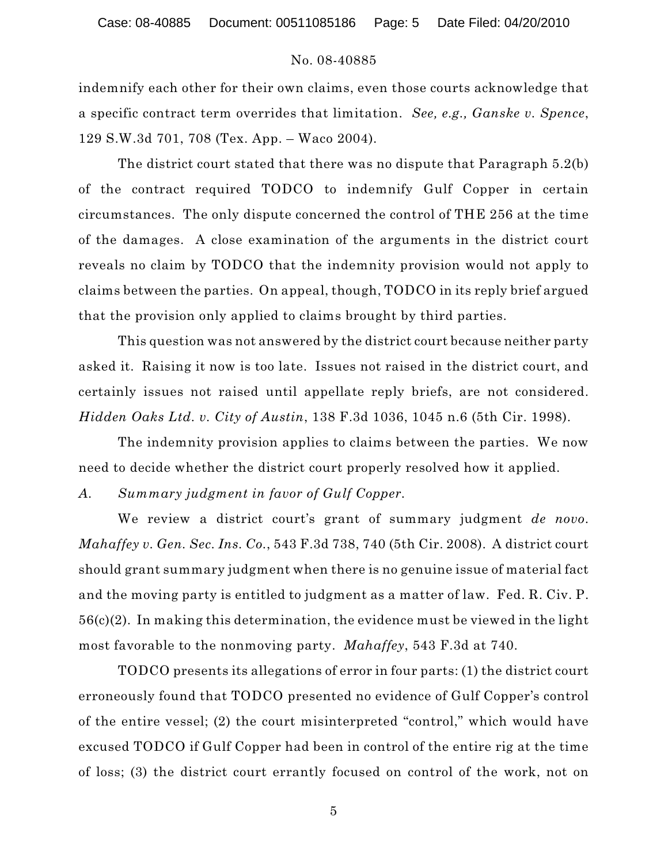indemnify each other for their own claims, even those courts acknowledge that a specific contract term overrides that limitation. *See, e.g., Ganske v. Spence*, 129 S.W.3d 701, 708 (Tex. App. – Waco 2004).

The district court stated that there was no dispute that Paragraph 5.2(b) of the contract required TODCO to indemnify Gulf Copper in certain circumstances. The only dispute concerned the control of THE 256 at the time of the damages. A close examination of the arguments in the district court reveals no claim by TODCO that the indemnity provision would not apply to claims between the parties. On appeal, though, TODCO in its reply brief argued that the provision only applied to claims brought by third parties.

This question was not answered by the district court because neither party asked it. Raising it now is too late. Issues not raised in the district court, and certainly issues not raised until appellate reply briefs, are not considered. *Hidden Oaks Ltd. v. City of Austin*, 138 F.3d 1036, 1045 n.6 (5th Cir. 1998).

The indemnity provision applies to claims between the parties. We now need to decide whether the district court properly resolved how it applied.

*A. Summary judgment in favor of Gulf Copper.*

We review a district court's grant of summary judgment *de novo*. *Mahaffey v. Gen. Sec. Ins. Co.*, 543 F.3d 738, 740 (5th Cir. 2008). A district court should grant summary judgment when there is no genuine issue of material fact and the moving party is entitled to judgment as a matter of law. Fed. R. Civ. P. 56(c)(2). In making this determination, the evidence must be viewed in the light most favorable to the nonmoving party. *Mahaffey*, 543 F.3d at 740.

TODCO presents its allegations of error in four parts: (1) the district court erroneously found that TODCO presented no evidence of Gulf Copper's control of the entire vessel; (2) the court misinterpreted "control," which would have excused TODCO if Gulf Copper had been in control of the entire rig at the time of loss; (3) the district court errantly focused on control of the work, not on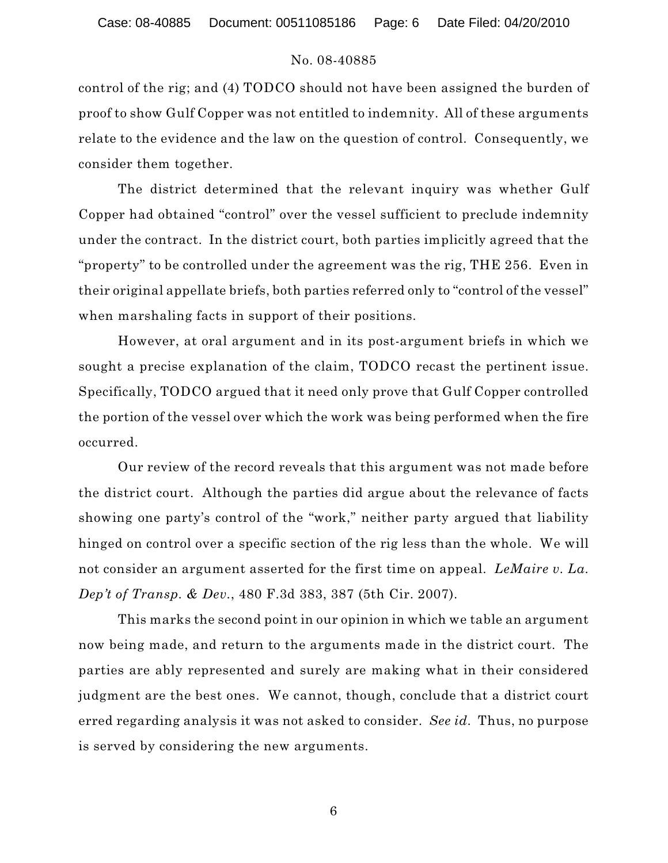control of the rig; and (4) TODCO should not have been assigned the burden of proof to show Gulf Copper was not entitled to indemnity. All of these arguments relate to the evidence and the law on the question of control. Consequently, we consider them together.

The district determined that the relevant inquiry was whether Gulf Copper had obtained "control" over the vessel sufficient to preclude indemnity under the contract. In the district court, both parties implicitly agreed that the "property" to be controlled under the agreement was the rig, THE 256. Even in their original appellate briefs, both parties referred only to "control of the vessel" when marshaling facts in support of their positions.

However, at oral argument and in its post-argument briefs in which we sought a precise explanation of the claim, TODCO recast the pertinent issue. Specifically, TODCO argued that it need only prove that Gulf Copper controlled the portion of the vessel over which the work was being performed when the fire occurred.

Our review of the record reveals that this argument was not made before the district court. Although the parties did argue about the relevance of facts showing one party's control of the "work," neither party argued that liability hinged on control over a specific section of the rig less than the whole. We will not consider an argument asserted for the first time on appeal. *LeMaire v. La. Dep't of Transp. & Dev.*, 480 F.3d 383, 387 (5th Cir. 2007).

This marks the second point in our opinion in which we table an argument now being made, and return to the arguments made in the district court. The parties are ably represented and surely are making what in their considered judgment are the best ones. We cannot, though, conclude that a district court erred regarding analysis it was not asked to consider. *See id.* Thus, no purpose is served by considering the new arguments.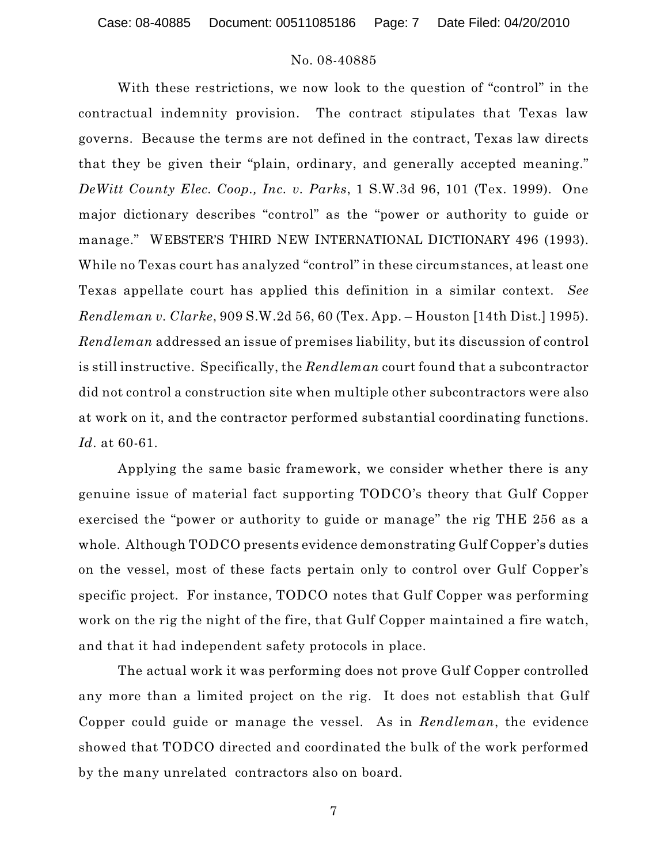Case: 08-40885 Document: 00511085186 Page: 7 Date Filed: 04/20/2010

### No. 08-40885

With these restrictions, we now look to the question of "control" in the contractual indemnity provision. The contract stipulates that Texas law governs. Because the terms are not defined in the contract, Texas law directs that they be given their "plain, ordinary, and generally accepted meaning." *DeWitt County Elec. Coop., Inc. v. Parks*, 1 S.W.3d 96, 101 (Tex. 1999). One major dictionary describes "control" as the "power or authority to guide or manage." WEBSTER'S THIRD NEW INTERNATIONAL DICTIONARY 496 (1993). While no Texas court has analyzed "control" in these circumstances, at least one Texas appellate court has applied this definition in a similar context. *See Rendleman v. Clarke*, 909 S.W.2d 56, 60 (Tex. App. – Houston [14th Dist.] 1995). *Rendleman* addressed an issue of premises liability, but its discussion of control is still instructive. Specifically, the *Rendleman* court found that a subcontractor did not control a construction site when multiple other subcontractors were also at work on it, and the contractor performed substantial coordinating functions. *Id*. at 60-61.

Applying the same basic framework, we consider whether there is any genuine issue of material fact supporting TODCO's theory that Gulf Copper exercised the "power or authority to guide or manage" the rig THE 256 as a whole. Although TODCO presents evidence demonstrating Gulf Copper's duties on the vessel, most of these facts pertain only to control over Gulf Copper's specific project. For instance, TODCO notes that Gulf Copper was performing work on the rig the night of the fire, that Gulf Copper maintained a fire watch, and that it had independent safety protocols in place.

The actual work it was performing does not prove Gulf Copper controlled any more than a limited project on the rig. It does not establish that Gulf Copper could guide or manage the vessel. As in *Rendleman*, the evidence showed that TODCO directed and coordinated the bulk of the work performed by the many unrelated contractors also on board.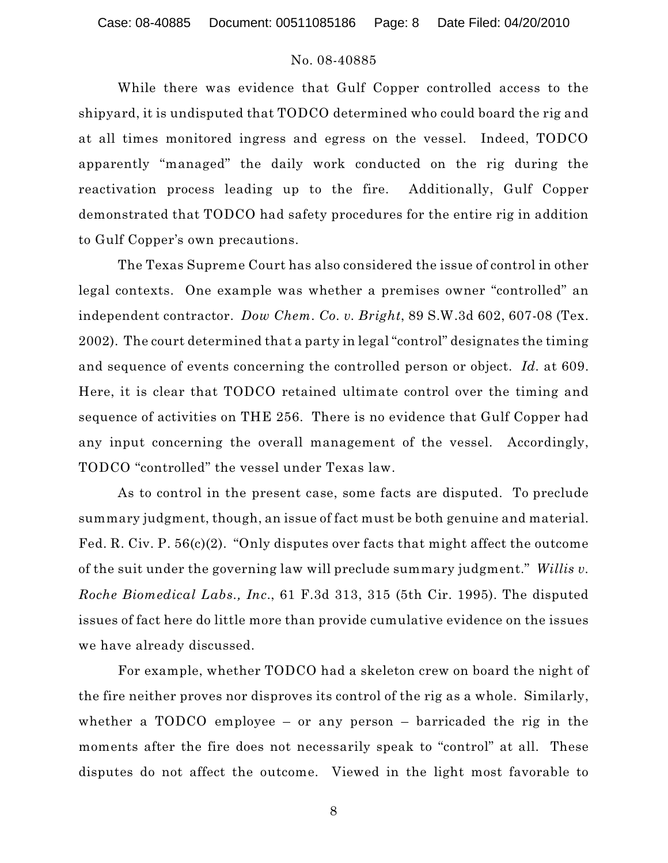While there was evidence that Gulf Copper controlled access to the shipyard, it is undisputed that TODCO determined who could board the rig and at all times monitored ingress and egress on the vessel. Indeed, TODCO apparently "managed" the daily work conducted on the rig during the reactivation process leading up to the fire. Additionally, Gulf Copper demonstrated that TODCO had safety procedures for the entire rig in addition to Gulf Copper's own precautions.

The Texas Supreme Court has also considered the issue of control in other legal contexts. One example was whether a premises owner "controlled" an independent contractor. *Dow Chem. Co. v. Bright*, 89 S.W.3d 602, 607-08 (Tex. 2002). The court determined that a party in legal "control" designates the timing and sequence of events concerning the controlled person or object. *Id.* at 609. Here, it is clear that TODCO retained ultimate control over the timing and sequence of activities on THE 256. There is no evidence that Gulf Copper had any input concerning the overall management of the vessel. Accordingly, TODCO "controlled" the vessel under Texas law.

As to control in the present case, some facts are disputed. To preclude summary judgment, though, an issue of fact must be both genuine and material. Fed. R. Civ. P. 56(c)(2). "Only disputes over facts that might affect the outcome of the suit under the governing law will preclude summary judgment." *Willis v. Roche Biomedical Labs., Inc*., 61 F.3d 313, 315 (5th Cir. 1995). The disputed issues of fact here do little more than provide cumulative evidence on the issues we have already discussed.

For example, whether TODCO had a skeleton crew on board the night of the fire neither proves nor disproves its control of the rig as a whole. Similarly, whether a TODCO employee – or any person – barricaded the rig in the moments after the fire does not necessarily speak to "control" at all. These disputes do not affect the outcome. Viewed in the light most favorable to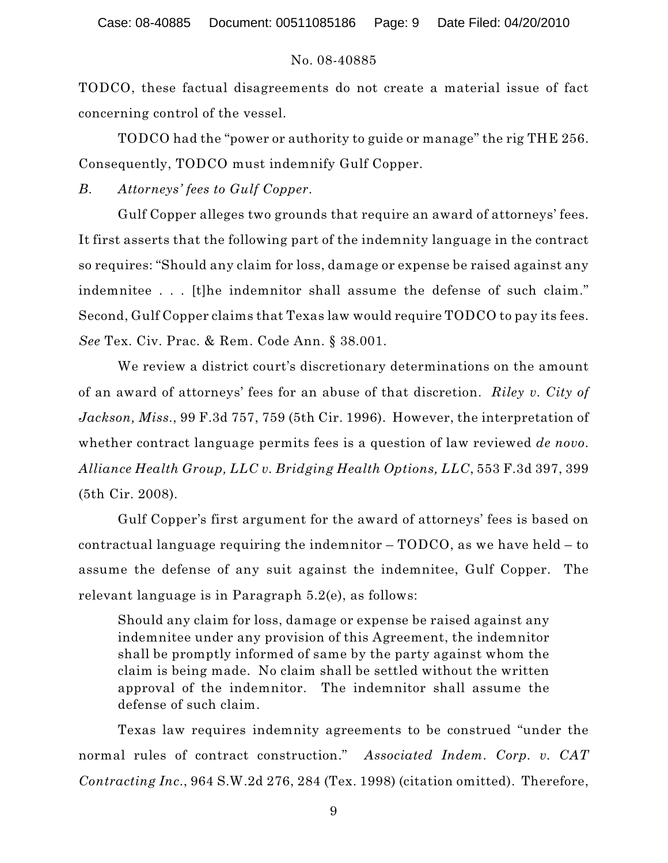TODCO, these factual disagreements do not create a material issue of fact concerning control of the vessel.

TODCO had the "power or authority to guide or manage" the rig THE 256. Consequently, TODCO must indemnify Gulf Copper.

*B. Attorneys' fees to Gulf Copper*.

Gulf Copper alleges two grounds that require an award of attorneys' fees. It first asserts that the following part of the indemnity language in the contract so requires: "Should any claim for loss, damage or expense be raised against any indemnitee . . . [t]he indemnitor shall assume the defense of such claim." Second, Gulf Copper claims that Texas law would require TODCO to pay its fees. *See* Tex. Civ. Prac. & Rem. Code Ann. § 38.001.

We review a district court's discretionary determinations on the amount of an award of attorneys' fees for an abuse of that discretion. *Riley v. City of Jackson, Miss.*, 99 F.3d 757, 759 (5th Cir. 1996). However, the interpretation of whether contract language permits fees is a question of law reviewed *de novo*. *Alliance Health Group, LLC v. Bridging Health Options, LLC*, 553 F.3d 397, 399 (5th Cir. 2008).

Gulf Copper's first argument for the award of attorneys' fees is based on contractual language requiring the indemnitor – TODCO, as we have held – to assume the defense of any suit against the indemnitee, Gulf Copper. The relevant language is in Paragraph 5.2(e), as follows:

Should any claim for loss, damage or expense be raised against any indemnitee under any provision of this Agreement, the indemnitor shall be promptly informed of same by the party against whom the claim is being made. No claim shall be settled without the written approval of the indemnitor. The indemnitor shall assume the defense of such claim.

Texas law requires indemnity agreements to be construed "under the normal rules of contract construction." *Associated Indem. Corp. v. CAT Contracting Inc*., 964 S.W.2d 276, 284 (Tex. 1998) (citation omitted). Therefore,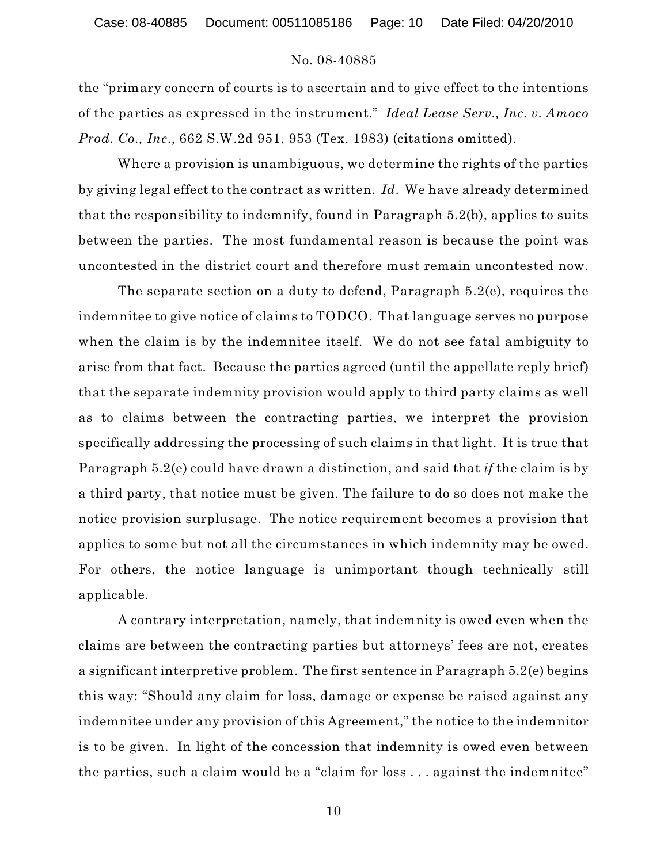Case: 08-40885 Document: 00511085186 Page: 10 Date Filed: 04/20/2010

## No. 08-40885

the "primary concern of courts is to ascertain and to give effect to the intentions of the parties as expressed in the instrument." *Ideal Lease Serv., Inc. v. Amoco Prod. Co., Inc*., 662 S.W.2d 951, 953 (Tex. 1983) (citations omitted).

Where a provision is unambiguous, we determine the rights of the parties by giving legal effect to the contract as written. *Id*. We have already determined that the responsibility to indemnify, found in Paragraph 5.2(b), applies to suits between the parties. The most fundamental reason is because the point was uncontested in the district court and therefore must remain uncontested now.

The separate section on a duty to defend, Paragraph 5.2(e), requires the indemnitee to give notice of claims to TODCO. That language serves no purpose when the claim is by the indemnitee itself. We do not see fatal ambiguity to arise from that fact. Because the parties agreed (until the appellate reply brief) that the separate indemnity provision would apply to third party claims as well as to claims between the contracting parties, we interpret the provision specifically addressing the processing of such claims in that light. It is true that Paragraph 5.2(e) could have drawn a distinction, and said that *if* the claim is by a third party, that notice must be given. The failure to do so does not make the notice provision surplusage. The notice requirement becomes a provision that applies to some but not all the circumstances in which indemnity may be owed. For others, the notice language is unimportant though technically still applicable.

A contrary interpretation, namely, that indemnity is owed even when the claims are between the contracting parties but attorneys' fees are not, creates a significant interpretive problem. The first sentence in Paragraph 5.2(e) begins this way: "Should any claim for loss, damage or expense be raised against any indemnitee under any provision of this Agreement," the notice to the indemnitor is to be given. In light of the concession that indemnity is owed even between the parties, such a claim would be a "claim for loss . . . against the indemnitee"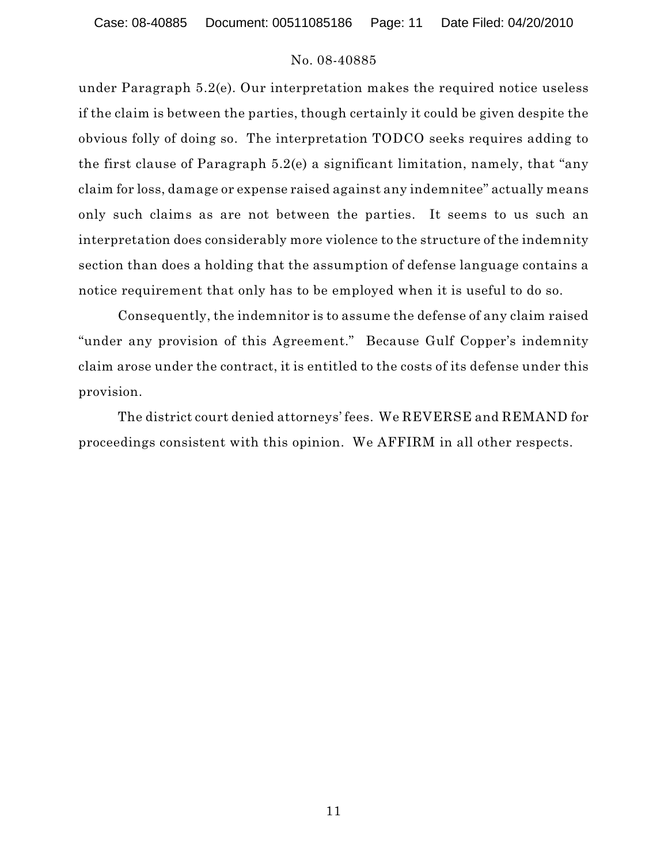Case: 08-40885 Document: 00511085186 Page: 11 Date Filed: 04/20/2010

## No. 08-40885

under Paragraph 5.2(e). Our interpretation makes the required notice useless if the claim is between the parties, though certainly it could be given despite the obvious folly of doing so. The interpretation TODCO seeks requires adding to the first clause of Paragraph 5.2(e) a significant limitation, namely, that "any claim for loss, damage or expense raised against any indemnitee" actually means only such claims as are not between the parties. It seems to us such an interpretation does considerably more violence to the structure of the indemnity section than does a holding that the assumption of defense language contains a notice requirement that only has to be employed when it is useful to do so.

Consequently, the indemnitor is to assume the defense of any claim raised "under any provision of this Agreement." Because Gulf Copper's indemnity claim arose under the contract, it is entitled to the costs of its defense under this provision.

The district court denied attorneys' fees. We REVERSE and REMAND for proceedings consistent with this opinion. We AFFIRM in all other respects.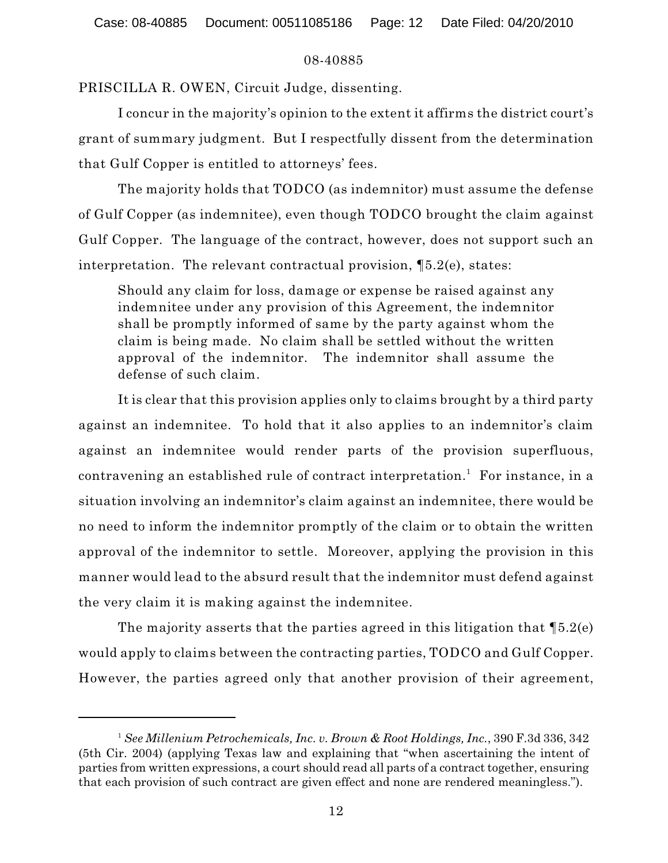# 08-40885

PRISCILLA R. OWEN, Circuit Judge, dissenting.

I concur in the majority's opinion to the extent it affirms the district court's grant of summary judgment. But I respectfully dissent from the determination that Gulf Copper is entitled to attorneys' fees.

The majority holds that TODCO (as indemnitor) must assume the defense of Gulf Copper (as indemnitee), even though TODCO brought the claim against Gulf Copper. The language of the contract, however, does not support such an interpretation. The relevant contractual provision, ¶5.2(e), states:

Should any claim for loss, damage or expense be raised against any indemnitee under any provision of this Agreement, the indemnitor shall be promptly informed of same by the party against whom the claim is being made. No claim shall be settled without the written approval of the indemnitor. The indemnitor shall assume the defense of such claim.

It is clear that this provision applies only to claims brought by a third party against an indemnitee. To hold that it also applies to an indemnitor's claim against an indemnitee would render parts of the provision superfluous, contravening an established rule of contract interpretation.<sup>1</sup> For instance, in a situation involving an indemnitor's claim against an indemnitee, there would be no need to inform the indemnitor promptly of the claim or to obtain the written approval of the indemnitor to settle. Moreover, applying the provision in this manner would lead to the absurd result that the indemnitor must defend against the very claim it is making against the indemnitee.

The majority asserts that the parties agreed in this litigation that  $\mathcal{Z}(e)$ would apply to claims between the contracting parties, TODCO and Gulf Copper. However, the parties agreed only that another provision of their agreement,

*See Millenium Petrochemicals, Inc. v. Brown & Root Holdings, Inc.*, 390 F.3d 336, 342 <sup>1</sup> (5th Cir. 2004) (applying Texas law and explaining that "when ascertaining the intent of parties from written expressions, a court should read all parts of a contract together, ensuring that each provision of such contract are given effect and none are rendered meaningless.").